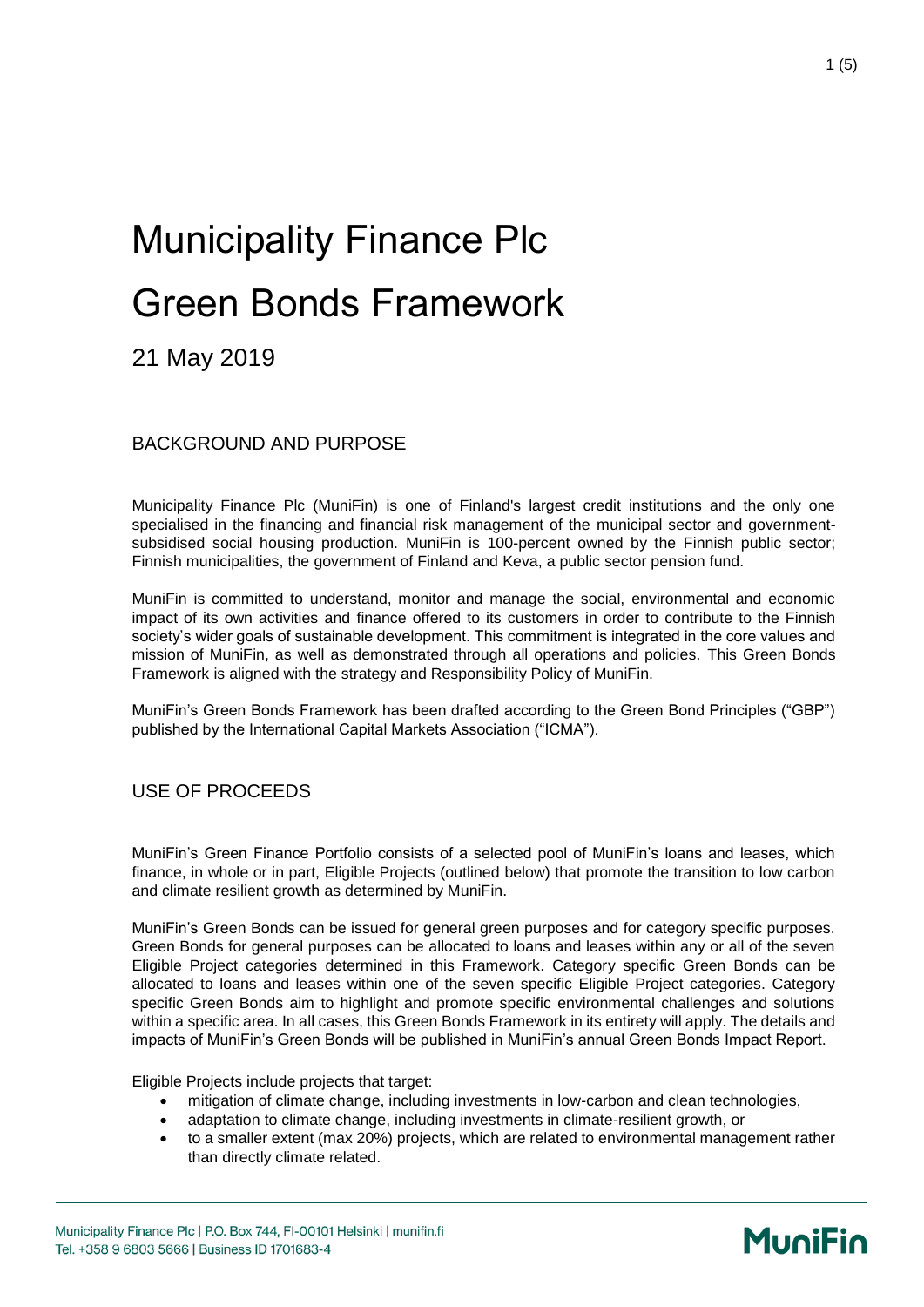# Municipality Finance Plc Green Bonds Framework

21 May 2019

BACKGROUND AND PURPOSE

Municipality Finance Plc (MuniFin) is one of Finland's largest credit institutions and the only one specialised in the financing and financial risk management of the municipal sector and governmentsubsidised social housing production. MuniFin is 100-percent owned by the Finnish public sector; Finnish municipalities, the government of Finland and Keva, a public sector pension fund.

MuniFin is committed to understand, monitor and manage the social, environmental and economic impact of its own activities and finance offered to its customers in order to contribute to the Finnish society's wider goals of sustainable development. This commitment is integrated in the core values and mission of MuniFin, as well as demonstrated through all operations and policies. This Green Bonds Framework is aligned with the strategy and Responsibility Policy of MuniFin.

MuniFin's Green Bonds Framework has been drafted according to the Green Bond Principles ("GBP") published by the International Capital Markets Association ("ICMA").

#### USE OF PROCEEDS

MuniFin's Green Finance Portfolio consists of a selected pool of MuniFin's loans and leases, which finance, in whole or in part, Eligible Projects (outlined below) that promote the transition to low carbon and climate resilient growth as determined by MuniFin.

MuniFin's Green Bonds can be issued for general green purposes and for category specific purposes. Green Bonds for general purposes can be allocated to loans and leases within any or all of the seven Eligible Project categories determined in this Framework. Category specific Green Bonds can be allocated to loans and leases within one of the seven specific Eligible Project categories. Category specific Green Bonds aim to highlight and promote specific environmental challenges and solutions within a specific area. In all cases, this Green Bonds Framework in its entirety will apply. The details and impacts of MuniFin's Green Bonds will be published in MuniFin's annual Green Bonds Impact Report.

Eligible Projects include projects that target:

- mitigation of climate change, including investments in low-carbon and clean technologies,
- adaptation to climate change, including investments in climate-resilient growth, or
- to a smaller extent (max 20%) projects, which are related to environmental management rather than directly climate related.

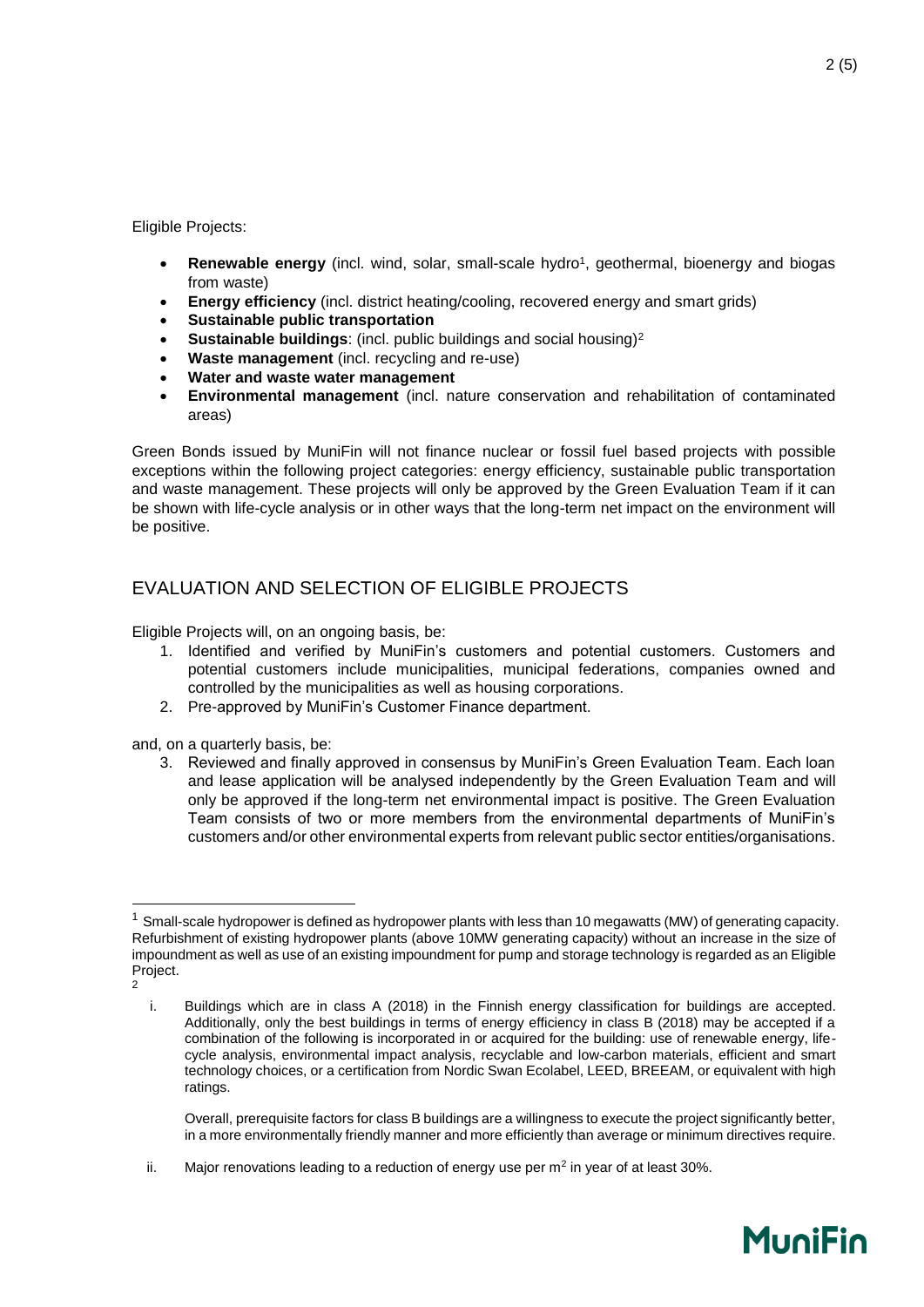Eligible Projects:

- **Renewable energy** (incl. wind, solar, small-scale hydro<sup>1</sup>, geothermal, bioenergy and biogas from waste)
- **Energy efficiency** (incl. district heating/cooling, recovered energy and smart grids)
- **Sustainable public transportation**
- **Sustainable buildings:** (incl. public buildings and social housing)<sup>2</sup>
- **Waste management** (incl. recycling and re-use)
- **Water and waste water management**
- **Environmental management** (incl. nature conservation and rehabilitation of contaminated areas)

Green Bonds issued by MuniFin will not finance nuclear or fossil fuel based projects with possible exceptions within the following project categories: energy efficiency, sustainable public transportation and waste management. These projects will only be approved by the Green Evaluation Team if it can be shown with life-cycle analysis or in other ways that the long-term net impact on the environment will be positive.

### EVALUATION AND SELECTION OF ELIGIBLE PROJECTS

Eligible Projects will, on an ongoing basis, be:

- 1. Identified and verified by MuniFin's customers and potential customers. Customers and potential customers include municipalities, municipal federations, companies owned and controlled by the municipalities as well as housing corporations.
- 2. Pre-approved by MuniFin's Customer Finance department.

and, on a quarterly basis, be:

3. Reviewed and finally approved in consensus by MuniFin's Green Evaluation Team. Each loan and lease application will be analysed independently by the Green Evaluation Team and will only be approved if the long-term net environmental impact is positive. The Green Evaluation Team consists of two or more members from the environmental departments of MuniFin's customers and/or other environmental experts from relevant public sector entities/organisations.

-

Overall, prerequisite factors for class B buildings are a willingness to execute the project significantly better, in a more environmentally friendly manner and more efficiently than average or minimum directives require.

 $1$  Small-scale hydropower is defined as hydropower plants with less than 10 megawatts (MW) of generating capacity. Refurbishment of existing hydropower plants (above 10MW generating capacity) without an increase in the size of impoundment as well as use of an existing impoundment for pump and storage technology is regarded as an Eligible Project.

 $\overline{2}$ 

i. Buildings which are in class A (2018) in the Finnish energy classification for buildings are accepted. Additionally, only the best buildings in terms of energy efficiency in class B (2018) may be accepted if a combination of the following is incorporated in or acquired for the building: use of renewable energy, lifecycle analysis, environmental impact analysis, recyclable and low-carbon materials, efficient and smart technology choices, or a certification from Nordic Swan Ecolabel, LEED, BREEAM, or equivalent with high ratings.

ii. Major renovations leading to a reduction of energy use per m<sup>2</sup> in year of at least 30%.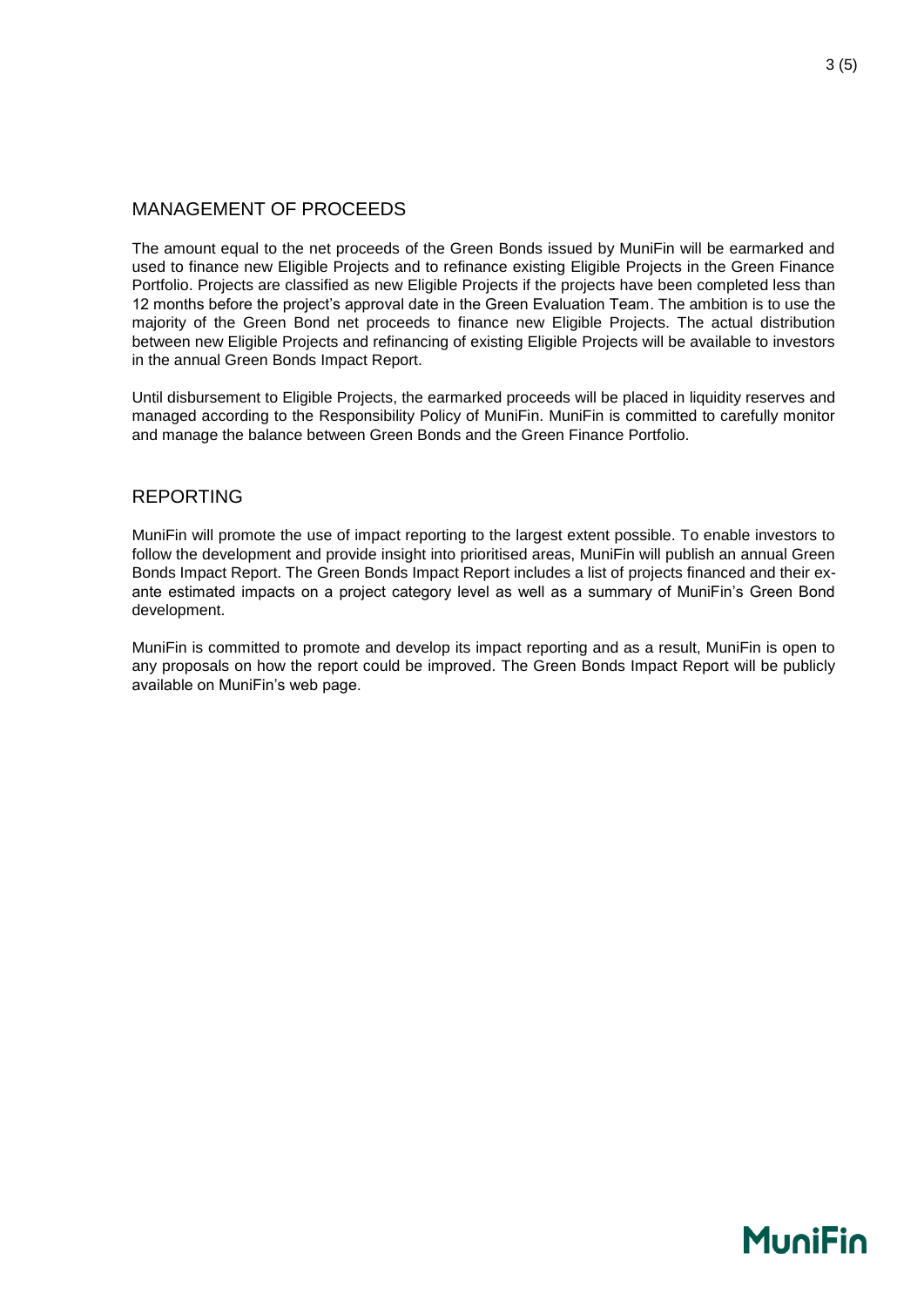#### MANAGEMENT OF PROCEEDS

The amount equal to the net proceeds of the Green Bonds issued by MuniFin will be earmarked and used to finance new Eligible Projects and to refinance existing Eligible Projects in the Green Finance Portfolio. Projects are classified as new Eligible Projects if the projects have been completed less than 12 months before the project's approval date in the Green Evaluation Team. The ambition is to use the majority of the Green Bond net proceeds to finance new Eligible Projects. The actual distribution between new Eligible Projects and refinancing of existing Eligible Projects will be available to investors in the annual Green Bonds Impact Report.

Until disbursement to Eligible Projects, the earmarked proceeds will be placed in liquidity reserves and managed according to the Responsibility Policy of MuniFin. MuniFin is committed to carefully monitor and manage the balance between Green Bonds and the Green Finance Portfolio.

#### REPORTING

MuniFin will promote the use of impact reporting to the largest extent possible. To enable investors to follow the development and provide insight into prioritised areas, MuniFin will publish an annual Green Bonds Impact Report. The Green Bonds Impact Report includes a list of projects financed and their exante estimated impacts on a project category level as well as a summary of MuniFin's Green Bond development.

MuniFin is committed to promote and develop its impact reporting and as a result, MuniFin is open to any proposals on how the report could be improved. The Green Bonds Impact Report will be publicly available on MuniFin's web page.

### **MuniFin**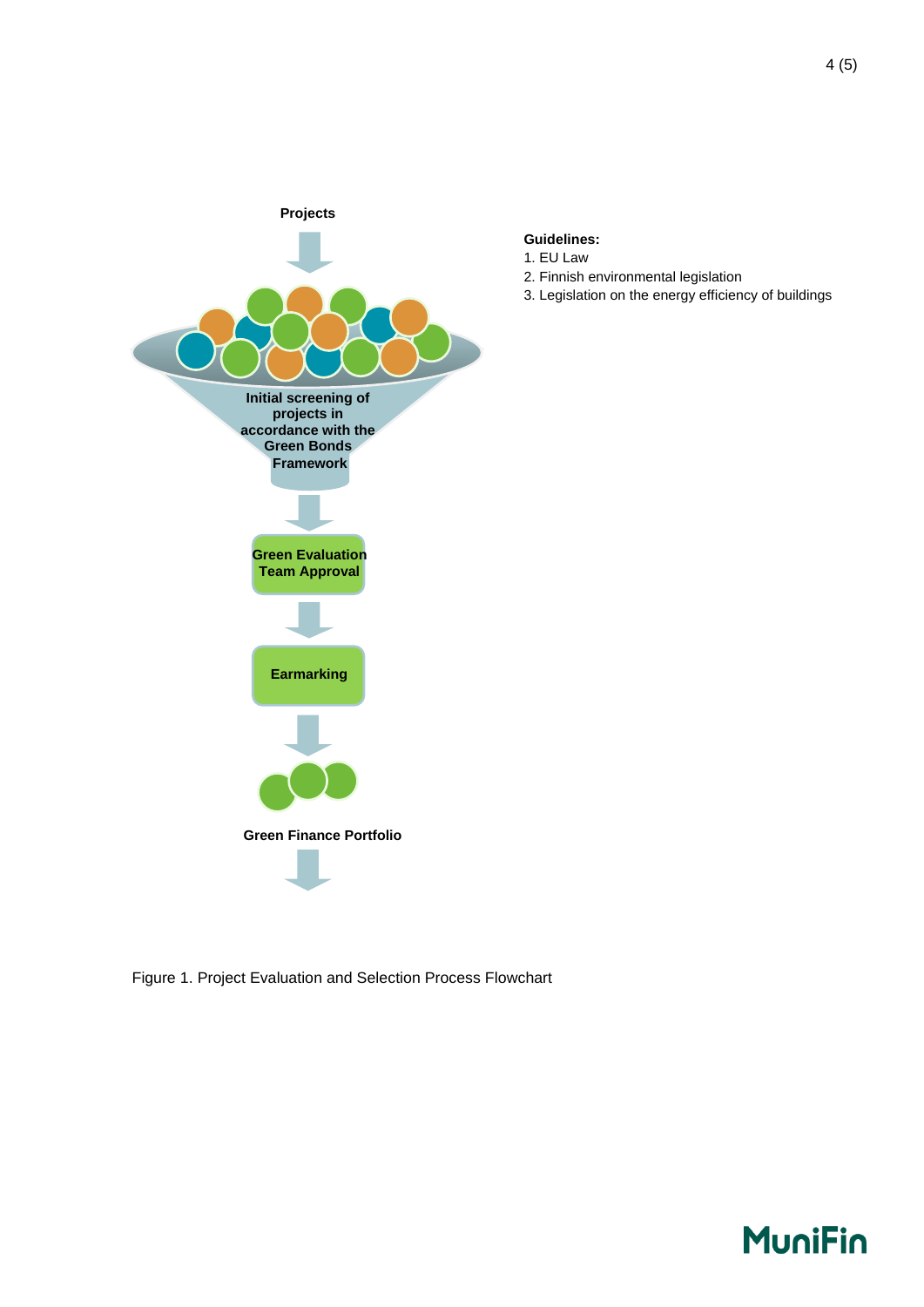

#### **Guidelines:**

- 1. EU Law
- 2. Finnish environmental legislation
- 3. Legislation on the energy efficiency of buildings

Figure 1. Project Evaluation and Selection Process Flowchart

## **MuniFin**